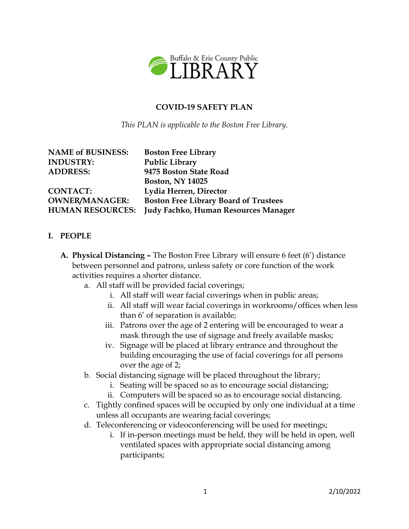

#### **COVID-19 SAFETY PLAN**

*This PLAN is applicable to the Boston Free Library.*

| <b>NAME of BUSINESS:</b> |
|--------------------------|
| <b>INDUSTRY:</b>         |
| <b>ADDRESS:</b>          |

**CONTACT: Lydia Herren, Director**

**Boston Free Library Public Library ADDRESS: 9475 Boston State Road Boston, NY 14025 OWNER/MANAGER: Boston Free Library Board of Trustees HUMAN RESOURCES: Judy Fachko, Human Resources Manager**

#### **I. PEOPLE**

- **A. Physical Distancing –** The Boston Free Library will ensure 6 feet (6') distance between personnel and patrons, unless safety or core function of the work activities requires a shorter distance.
	- a. All staff will be provided facial coverings;
		- i. All staff will wear facial coverings when in public areas;
		- ii. All staff will wear facial coverings in workrooms/offices when less than 6' of separation is available;
		- iii. Patrons over the age of 2 entering will be encouraged to wear a mask through the use of signage and freely available masks;
		- iv. Signage will be placed at library entrance and throughout the building encouraging the use of facial coverings for all persons over the age of 2;
	- b. Social distancing signage will be placed throughout the library;
		- i. Seating will be spaced so as to encourage social distancing;
		- ii. Computers will be spaced so as to encourage social distancing.
	- c. Tightly confined spaces will be occupied by only one individual at a time unless all occupants are wearing facial coverings;
	- d. Teleconferencing or videoconferencing will be used for meetings;
		- i. If in-person meetings must be held, they will be held in open, well ventilated spaces with appropriate social distancing among participants;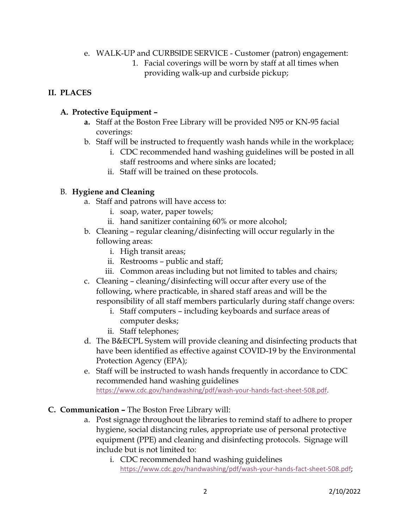- e. WALK-UP and CURBSIDE SERVICE Customer (patron) engagement:
	- 1. Facial coverings will be worn by staff at all times when providing walk-up and curbside pickup;

# **II. PLACES**

# **A. Protective Equipment –**

- **a.** Staff at the Boston Free Library will be provided N95 or KN-95 facial coverings:
- b. Staff will be instructed to frequently wash hands while in the workplace;
	- i. CDC recommended hand washing guidelines will be posted in all staff restrooms and where sinks are located;
	- ii. Staff will be trained on these protocols.

# B. **Hygiene and Cleaning**

- a. Staff and patrons will have access to:
	- i. soap, water, paper towels;
	- ii. hand sanitizer containing 60% or more alcohol;
- b. Cleaning regular cleaning/disinfecting will occur regularly in the following areas:
	- i. High transit areas;
	- ii. Restrooms public and staff;
	- iii. Common areas including but not limited to tables and chairs;
- c. Cleaning cleaning/disinfecting will occur after every use of the following, where practicable, in shared staff areas and will be the responsibility of all staff members particularly during staff change overs:
	- i. Staff computers including keyboards and surface areas of computer desks;
	- ii. Staff telephones;
- d. The B&ECPL System will provide cleaning and disinfecting products that have been identified as effective against COVID-19 by the Environmental Protection Agency (EPA);
- e. Staff will be instructed to wash hands frequently in accordance to CDC recommended hand washing guidelines [https://www.cdc.gov/handwashing/pdf/wash-your-hands-fact-sheet-508.pdf.](https://www.cdc.gov/handwashing/pdf/wash-your-hands-fact-sheet-508.pdf)
- **C. Communication –** The Boston Free Library will:
	- a. Post signage throughout the libraries to remind staff to adhere to proper hygiene, social distancing rules, appropriate use of personal protective equipment (PPE) and cleaning and disinfecting protocols. Signage will include but is not limited to:
		- i. CDC recommended hand washing guidelines [https://www.cdc.gov/handwashing/pdf/wash-your-hands-fact-sheet-508.pdf;](https://www.cdc.gov/handwashing/pdf/wash-your-hands-fact-sheet-508.pdf)